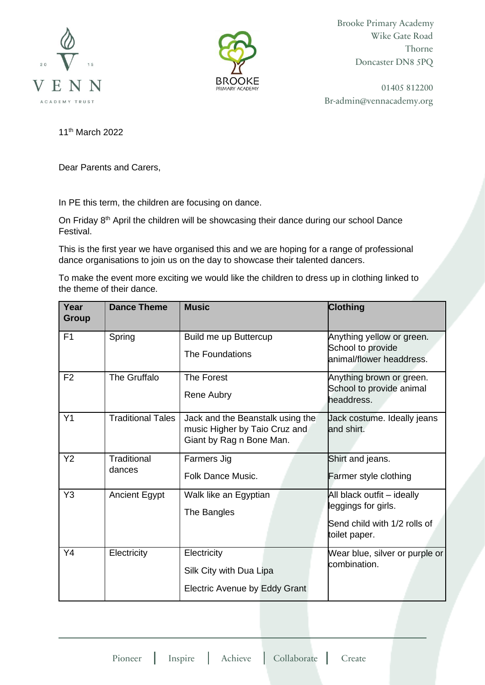



Brooke Primary Academy Wike Gate Road Thorne Doncaster DN8 5PQ

01405 812200 Br-admin@vennacademy.org

11th March 2022

Dear Parents and Carers,

In PE this term, the children are focusing on dance.

On Friday 8<sup>th</sup> April the children will be showcasing their dance during our school Dance Festival.

This is the first year we have organised this and we are hoping for a range of professional dance organisations to join us on the day to showcase their talented dancers.

To make the event more exciting we would like the children to dress up in clothing linked to the theme of their dance.

| Year<br><b>Group</b> | <b>Dance Theme</b>       | <b>Music</b>                                                                                  | Clothing                                                                                           |
|----------------------|--------------------------|-----------------------------------------------------------------------------------------------|----------------------------------------------------------------------------------------------------|
| F <sub>1</sub>       | Spring                   | Build me up Buttercup<br>The Foundations                                                      | Anything yellow or green.<br>School to provide<br>animal/flower headdress.                         |
| F <sub>2</sub>       | The Gruffalo             | <b>The Forest</b><br><b>Rene Aubry</b>                                                        | Anything brown or green.<br>School to provide animal<br>headdress.                                 |
| Y <sub>1</sub>       | <b>Traditional Tales</b> | Jack and the Beanstalk using the<br>music Higher by Taio Cruz and<br>Giant by Rag n Bone Man. | Jack costume. Ideally jeans<br>and shirt.                                                          |
| Y2                   | Traditional<br>dances    | Farmers Jig<br>Folk Dance Music.                                                              | Shirt and jeans.<br>Farmer style clothing                                                          |
| Y <sub>3</sub>       | <b>Ancient Egypt</b>     | Walk like an Egyptian<br>The Bangles                                                          | All black outfit - ideally<br>leggings for girls.<br>Send child with 1/2 rolls of<br>toilet paper. |
| Y4                   | Electricity              | Electricity<br>Silk City with Dua Lipa<br>Electric Avenue by Eddy Grant                       | Wear blue, silver or purple or<br>combination.                                                     |